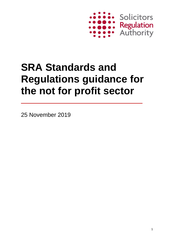

# **SRA Standards and Regulations guidance for the not for profit sector**

25 November 2019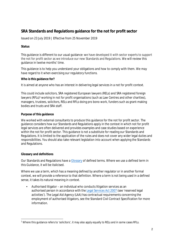# **SRA Standards and Regulations guidance for the not for profit sector**

Issued on 23 July 2019 | Effective from 25 November 2019

## **Status**

This guidance is different to our usual guidance: we have developed it with sector experts to support the not for profit sector as we introduce our new Standards and Regulations. We will review this guidance in twelve months' time.

This guidance is to help you understand your obligations and how to comply with them. We may have regard to it when exercising our regulatory functions.

## **Who is this guidance for?**

It is aimed at anyone who has an interest in delivering legal services in a not for profit context.

This could include solicitors, SRA registered European lawyers (RELs) and SRA registered foreign lawyers (RFLs)<sup>1</sup> working in not for profit organisations (such as Law Centres and other charities), managers, trustees, solicitors, RELs and RFLs doing pro bono work, funders such as grant-making bodies and trusts and SRA staff.

## **Purpose of this guidance**

We worked with external consultants to produce this guidance for the not for profit sector. The guidance considers how our Standards and Regulations apply in the context in which not for profit legal services are often delivered and provides examples and case studies based on experience within the not for profit sector. This guidance is not a substitute for reading our Standards and Regulations. It is limited to the application of the rules and does not cover any wider legal duties and responsibilities. You should also take relevant legislation into account when applying the Standards and Regulations.

## **Glossary and definitions**

Our Standards and Regulations have a [Glossary](https://www.sra.org.uk/solicitors/standards-regulations/glossary) of defined terms. Where we use a defined term in this Guidance, it will be italicised.

Where we use a term, which has a meaning defined by another regulator or in another formal context, we will provide a reference to that definition. Where a term is not being used in a defined sense, it takes its natural meaning in context.

• Authorised litigator – an individual who conducts litigation services as an authorised person in accordance with the [Legal Services](https://www.legislation.gov.uk/ukpga/2007/29/contents) Act 2007 (see 'reserved legal activities'). The Legal Aid Agency (LAA) has contractual requirements concerning the employment of authorised litigators, see the Standard Civil Contract Specification for more information.

<sup>&</sup>lt;sup>1</sup> Where this guidance refers to 'solicitors', it may also apply equally to RELs and in some cases RFLs.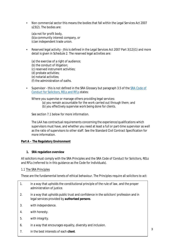• Non commercial sector this means the bodies that fall within the Legal Services Act 2007 s23(2). The bodies are:

(a)a not for profit body, (b)a community interest company, or (c)an independent trade union.

• Reserved legal activity - this is defined in the Legal Services Act 2007 Part 3(12)(1) and more detail is given in Schedule 2. The reserved legal activities are:

(a) the exercise of a right of audience; (b) the conduct of litigation; (c) reserved instrument activities; (d) probate activities; (e) notarial activities; (f) the administration of oaths.

• Supervisor - this is not defined in the SRA Glossary but paragraph 3.5 of the [SRA Code of](https://www.sra.org.uk/solicitors/standards-regulations/code-conduct-solicitors) [Conduct for Solicitors, RELs and RFLs s](https://www.sra.org.uk/solicitors/standards-regulations/code-conduct-solicitors)tates:

Where you supervise or manage others providing legal services:

- (a) you remain accountable for the work carried out through them; and
- (b) you effectively supervise work being done for clients.

See section 7.1 below for more information.

The LAA has contractual requirements concerning the experience/qualifications which supervisors must have, and whether you need at least a full or part-time supervisor as well as the ratio of supervisors to other staff. See the Standard Civil Contract Specification for more information.

## **Part A – The Regulatory Environment**

#### **1. SRA regulation overview**

All solicitors must comply with the SRA Principles and the SRA Code of Conduct for Solicitors, RELs and RFLs (referred to in this guidance as the Code for Individuals).

#### 1.1 The SRA Principles

These are the fundamental tenets of ethical behaviour. The Principles require all solicitors to act:

- 1. in a way that upholds the constitutional principle of the rule of law, and the proper administration of justice.
- 2. in a way that upholds public trust and confidence in the solicitors' profession and in legal services provided by *authorised persons*.
- 3. with independence.
- 4. with honesty.
- 5. with integrity.
- 6. in a way that encourages equality, diversity and inclusion.
- 7. in the best interests of each *client*.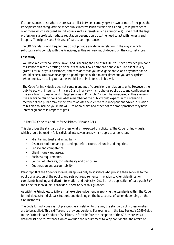If circumstances arise where there is a conflict between complying with two or more Principles, the Principles which safeguard the wider public interest (such as Principles 1 and 2) take precedence over those which safeguard an individual *client*'s interests (such as Principle 7). Given that the legal profession is a profession whose reputation depends on trust, the need to act with honesty and integrity (Principles 4 and 5) is also of particular importance.

The SRA Standards and Regulations do not provide any detail in relation to the way in which solicitors are to comply with the Principles, as this will very much depend on the circumstances.

#### **Case study**

You have a client who is very unwell and is nearing the end of his life. You have provided pro bono assistance to him by drafting his Will at the local Law Centre pro bono clinic. The client is very grateful for all of your assistance, and considers that you have gone above and beyond what he would expect. You have developed a good rapport with him over time; but you are surprised when one day he tells you that he would like to include you in his will.

The Code for Individuals does not contain any specific provisions in relation to gifts. However, the duty to act with integrity in Principle 5 and in a way which upholds public trust and confidence in the solicitors' profession and in legal services in Principle 2 should be considered in this scenario. It is always helpful to consider what a member of the public would expect. In this scenario a member of the public may expect you to advise the client to take independent advice in relation to his plan to include you in his will. Pro bono clinics and other not for profit practices may have internal guidance in respect of gifts.

#### 1.2 The SRA Code of Conduct for Solicitors, RELs and RFLs

This describes the standards of professionalism expected of solicitors. The Code for Individuals, which should be read in full, is divided into seven areas which apply to all solicitors:

- Maintaining trust and acting fairly.
- Dispute resolution and proceedings before courts, tribunals and inquiries.
- Service and competence.
- Client money and assets.
- Business requirements.
- Conflict of interests, confidentiality and disclosure.
- Cooperation and accountability.

Paragraph 8 of the Code for Individuals applies only to solicitors who provide their services to the public or a section of the public, and sets out requirements in relation to *client* identification, complaints handling and *client* information and publicity. Detail on the application of paragraph 8 of the Code for Individuals is provided in section 5 of this guidance.

As with the Principles, solicitors must exercise judgement in applying the standards within the Code for Individuals to individual situations and deciding on the best course of action depending on the circumstances.

The Code for Individuals is not prescriptive in relation to the way the standards of professionalism are to be applied. This is different to previous versions. For example, in the Law Society's 1999 Guide to the Professional Conduct of Solicitors, in force before the inception of the SRA, there was a detailed list of circumstances which override the requirement to keep confidential the affairs of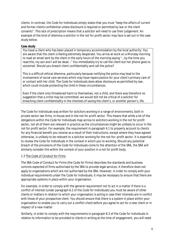clients. In contrast, the Code for Individuals simply states that you must "*keep the affairs of current and former clients confidential unless disclosure is required or permitted by law or the client consents*". This lack of prescription means that a solicitor will need to use their judgement. An example of the kind of dilemma a solicitor in the not for profit sector may face is set out in the case study below.

#### **Case study**

You have a client who has been placed in temporary accommodation by the local authority. You are aware that the client is feeling extremely desperate. You arrive at work on a Monday morning to read an email sent by the client in the early hours of the morning saying "...by the time you read this, my son and I will be dead…" You immediately try to call the client but her phone goes to voicemail. Should you breach client confidentiality and call the police?

This is a difficult ethical dilemma, particularly because notifying the police may lead to the involvement of social care services which may have repercussions for your client's primary care of or contact with her child. The Code for Individuals does allow disclosure as permitted by law, which could include protecting the child in these circumstances.

Even if the client only threatened harm to themselves, not a child, and there was therefore no suggestion that a crime may be committed, we would still not be critical of a solicitor for breaching client confidentiality in the interests of saving the client's, or another person's, life.

The Code for Individuals was written for solicitors working in a range of environments, both in private sector law firms, in-house and in the not for profit sector. This means that while a lot of the obligations within the Code for Individuals map across to solicitors working in the not for profit sector, not all of them are relevant in practice as the circumstances might be unlikely to occur in the not for profit sector. For example, the requirement in paragraph 4.1 to properly account to clients for any financial benefit you receive as a result of their instructions, except where they have agreed otherwise, is unlikely to be relevant to a solicitor working for the not-for–profit sector. It is essential to review the Code for Individuals in the context in which you're working. Should any potential breach of the provisions of the Code for Individuals come to the attention of the SRA, the SRA will similarly consider this within the context of your position in a not for profit body.

#### 1.3 The Code of Conduct for Firms

The SRA Code of Conduct for Firms (the Code for Firms) describes the standards and business controls expected of firms authorised by the SRA to provide legal services. It therefore does not apply to organisations which are not authorised by the SRA. However, in order to comply with your individual requirements under the Code for Individuals, it may be necessary to ensure that there are appropriate systems in place within your organisation.

For example, in order to comply with the general requirement not to act in a matter if there is a conflict of interest (under paragraph 6.2 of the Code for Individuals) you must be aware of other clients or matters in relation to which your organisation is acting in case their interests are in conflict with those of your prospective client. You should ensure that there is a system in place within your organisation to enable you to carry out a conflict check before you agree to act for a new client or in respect of a new matter.

Similarly, in order to comply with the requirements in paragraph 8.3 of the Code for Individuals in relation to information to be provided to clients in writing at the time of engagement, you will need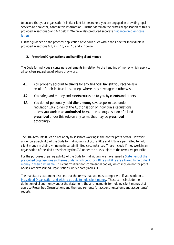to ensure that your organisation's initial client letters (where you are engaged in providing legal services as a solicitor) contain this information. Further detail on the practical application of this is provided in sections 5 and 6.2 below. We have also produced separate [guidance on client care](https://www.sra.org.uk/solicitors/guidance/ethics-guidance/client-care-letters/) [letters.](https://www.sra.org.uk/solicitors/guidance/ethics-guidance/client-care-letters/)

Further guidance on the practical application of various rules within the Code for Individuals is provided in sections 6.1, 7.2, 7.3, 7.4, 7.6 and 7.7 below.

## **2. Prescribed Organisations and handling client money**

The Code for Individuals contains requirements in relation to the handling of money which apply to all solicitors regardless of where they work.

- 4.1 You properly account to *clients* for any *financial benefit* you receive as a result of their instructions, except where they have agreed otherwise.
- 4.2 You safeguard money and *assets* entrusted to you by *clients* and others.
- 4.3 You do not personally hold *client money* save as permitted under regulation 10.2(b)(vii) of the Authorisation of Individuals Regulations, unless you work in an *authorised body*, or in an organisation of a kind *prescribed* under this rule on any terms that may be *prescribed* accordingly.

The SRA Accounts Rules do not apply to solicitors working in the not for profit sector. However, under paragraph 4.3 of the Code for Individuals, solicitors, RELs and RFLs are permitted to hold client money in their own name in certain limited circumstances. These include if they work in an organisation of the kind prescribed by the SRA under the rule, subject to the terms we prescribe.

For the purposes of paragraph 4.3 of the Code for Individuals, we have issued a [Statement of the](https://www.sra.org.uk/solicitors/standards-regulations/hold-client-money/) prescribed [organisations and terms under which Solicitors, RELs and RFLs are allowed to hold client](https://www.sra.org.uk/solicitors/standards-regulations/hold-client-money/) [money in their own name.](https://www.sra.org.uk/solicitors/standards-regulations/hold-client-money/) This confirms that non-commercial bodies, which include not for profit bodies, are 'Prescribed Organisations' under paragraph 4.3.

The mandatory statement also sets out the terms that you must comply with if you work for a [Prescribed Organisation and wish to be able to hold client money.](https://www.sra.org.uk/solicitors/standards-regulations/withdraw-client-money/) These terms include the definition of client money under the statement, the arrangements for holding client money that apply to Prescribed Organisations and the requirements for accounting systems and accountants' reports.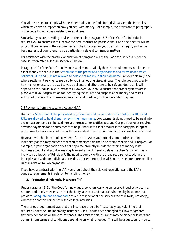You will also need to comply with the wider duties in the Code for Individuals and the Principles, which may have an impact on how you deal with money. For example, the provisions of paragraph 5 of the Code for Individuals relate to referral fees.

Similarly, if you are providing services to the public, paragraph 8.7 of the Code for Individuals requires you to ensure clients receive the best information possible about how their matter will be priced. More generally, the requirements in the Principles for you to act with integrity and in the best interests of your client may be particularly relevant to financial matters.

For assistance with the practical application of paragraph 4.1 of the Code for Individuals, see the case study on referral fees in section 7.3 below.

Paragraph 4.2 of the Code for Individuals applies more widely than the requirements in relation to client money as set out in the [Statement of the prescribed organisations and terms under which](https://www.sra.org.uk/solicitors/standards-regulations/hold-client-money/) [Solicitors, RELs and RFLs are](https://www.sra.org.uk/solicitors/standards-regulations/hold-client-money/) allowed to hold client money in their own name. An example might be where settlement payments are paid to you in a housing disrepair case. The rule does not specify how money or assets entrusted to you by clients and others are to be safeguarded, as this will depend on the individual circumstances. However, you should ensure that proper systems are in place within your organisation for identifying the source and purpose of all money and assets entrusted to you so that these are protected and used only for their intended purpose.

## 2.2 Payments from the Legal Aid Agency (LAA)

Under our [Statement of the prescribed organisations and terms under which Solicitors, RELs and](https://www.sra.org.uk/solicitors/standards-regulations/hold-client-money/) [RFLs are allowed to hold client money in their own name,](https://www.sra.org.uk/solicitors/standards-regulations/hold-client-money/) LAA payments do not need to be paid into a client account and can be paid into your organisation's office account. Our previous rules required advance payments for disbursements to be put back into client account if the party providing the professional services was not paid within a specified time. This requirement has now been removed.

However, you should not hold payments from the LAA in your organisation's office account indefinitely as this may breach other requirements within the Code for Individuals and Principles. For example, if your organisation does not pay a fee promptly in order to retain the money in its business account and avoid increasing its overdraft and thereby delays the client's matter, this is likely to be a breach of Principle 7. The need to comply with the broad requirements within the Principles and Code for Individuals provides sufficient protection without the need for more detailed rules in relation to LAA payments.

If you have a contract with the LAA, you should check the relevant regulations and the LAA's contract requirements in relation to handling money.

#### **3. Professional indemnity insurance (PII)**

Under paragraph 5.6 of the Code for Individuals, solicitors carrying on reserved legal activities in a not for profit body must ensure that the body takes out and maintains indemnity insurance that provides ["adequate and appropriate"](https://www.sra.org.uk/solicitors/guidance/ethics-guidance/adequate-and-appropriate-indemnity-insurance/) cover in respect of all the services the solicitor(s) provide(s), whether or not this comprises reserved legal activities.

The previous requirement was that this insurance should be "reasonably equivalent" to that required under the SRA Indemnity Insurance Rules. This has been changed to allow for greater flexibility depending on the circumstances. The limits to this insurance may be higher or lower than our minimum terms and conditions depending on what is needed. This will be a question for you to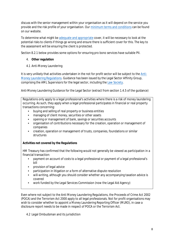discuss with the senior management within your organisation as it will depend on the service you provide and the risk profile of your organisation. Our [minimum terms and conditions](https://www.sra.org.uk/solicitors/guidance/ethics-guidance/the-insurance-act-2015-and-consequential-changes-to-the-minimum-terms-and-conditions-of-professional-indemnity-insurance/) can be found on our website.

To determine what might be [adequate and appropriate c](https://www.sra.org.uk/solicitors/guidance/ethics-guidance/adequate-and-appropriate-indemnity-insurance/)over, it will be necessary to look at the potential risks to clients if things go wrong and ensure there is sufficient cover for this. The key to the assessment will be ensuring the client is protected.

Section 8.2.1 below provides some options for ensuring pro bono services have suitable PII.

## 4. **Other regulation**

4.1 Anti-Money Laundering

It is very unlikely that activities undertaken in the not for profit sector will be subject to the [Anti-](http://www.legislation.gov.uk/uksi/2017/692/contents/made)[Money Laundering Regulations.](http://www.legislation.gov.uk/uksi/2017/692/contents/made) Guidance has been issued by the Legal Sector Affinity Group, comprising the AML Supervisors for the legal sector, including the [Law Society.](http://www.lawsociety.org.uk/policy-campaigns/articles/anti-money-laundering-guidance/)

Anti-Money Laundering Guidance for the Legal Sector (extract from section 1.4.5 of the guidance)

Regulations only apply to a legal professional's activities where there is a risk of money laundering occurring. As such, they apply when a legal professional participates in financial or real property transactions concerning:

- buying and selling of real property or business entities
- managing of client money, securities or other assets
- opening or management of bank, savings or securities accounts
- organisation of contributions necessary for the creation, operation or management of companies
- creation, operation or management of trusts, companies, foundations or similar structures

## *Activities not covered by the Regulations*

HM Treasury has confirmed that the following would not generally be viewed as participation in a financial transaction:

- payment on account of costs to a legal professional or payment of a legal professional's bill
- provision of legal advice
- participation in litigation or a form of alternative dispute resolution
- will-writing, although you should consider whether any accompanying taxation advice is covered
- work funded by the Legal Services Commission (now the Legal Aid Agency)

Even where not subject to the Anti Money Laundering Regulations, the Proceeds of Crime Act 2002 (POCA) and the Terrorism Act 2000 apply to all legal professionals. Not for profit organisations may wish to consider whether to appoint a Money Laundering Reporting Officer (MLRO), in case a disclosure report needs to be made in respect of POCA or the Terrorism Act.

4.2 Legal Ombudsman and its jurisdiction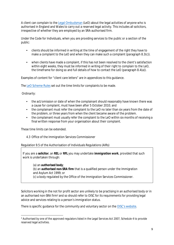A client can complain to the [Legal Ombudsman \(](https://www.legalombudsman.org.uk/)LeO) about the legal activities of anyone who is authorised in England and Wales to carry out a reserved legal activity. This includes all solicitors, irrespective of whether they are employed by an SRA-authorised firm.

Under the Code for Individuals, when you are providing services to the public or a section of the public:

- clients should be informed in writing at the time of engagement of the right they have to make a complaint to the LeO and when they can make such a complaint (paragraph 8.3(c)).
- when clients have made a complaint, if this has not been resolved to the client's satisfaction within eight weeks, they must be informed in writing of their right to complain to the LeO, the timeframe for doing so and full details of how to contact the LeO (paragraph 8.4(a)).

Examples of content for "client care letters" are in appendices to this guidance.

The [LeO Scheme Rules](https://www.legalombudsman.org.uk/helping-the-public/#scheme-rules) set out the time limits for complaints to be made.

Ordinarily:

- the act/omission or date of when the complainant should reasonably have known there was a cause for complaint, must have been after 5 October 2010; and
- the complainant must refer the complaint to the LeO no later than six years from the date of the problem, or three years from when the client became aware of the problem.
- the complainant must usually refer the complaint to the LeO within six months of receiving a final written response from your organisation about their complaint.

These time limits can be extended.

4.3 Office of the Immigration Services Commissioner

Regulation 9.5 of the Authorisation of Individuals Regulations (AIRs)

If you are a *solicitor*, an *REL* or *RFL* you may undertake *immigration work*, provided that such work is undertaken through:

(a) an *authorised body*; (b) an *authorised non-SRA firm* that is a qualified person under the Immigration and Asylum Act 1999; or (c) a body regulated by the Office of the Immigration Services Commissioner.

Solicitors working in the not for profit sector are unlikely to be practising in an authorised body or in an authorised non-SRA firm2 and so should refer to OISC for its requirements for providing legal advice and services relating to a person's immigration status.

There is specific guidance for the community and voluntary sector on th[e OISC's website.](https://www.gov.uk/government/organisations/office-of-the-immigration-services-commissioner)

<sup>&</sup>lt;sup>2</sup> Authorised by one of the approved regulators listed in the Legal Services Act 2007, Schedule 4 to provide reserved legal activities.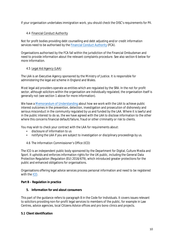If your organisation undertakes immigration work, you should check the OISC's requirements for PII.

## 4.4 Financial Conduct Authority

Not for profit bodies providing debt counselling and debt adjusting and/or credit information services need to be authorised by the [Financial Conduct Authority](https://www.fca.org.uk/) (FCA).

Organisations authorised by the FCA fall within the jurisdiction of the Financial Ombudsman and need to provide information about the relevant complaints procedure. See also section 6 below for more information.

## 4.5 Legal Aid Agency (LAA)

The LAA is an Executive Agency sponsored by the Ministry of Justice. It is responsible for administering the legal aid scheme in England and Wales.

Most legal aid providers operate as entities which are regulated by the SRA. In the not for profit sector, although solicitors within the organisation are individually regulated, the organisation itself is generally not (see section 1 above for more information).

We have [a Memorandum of Understanding a](https://www.sra.org.uk/documents/sra/mou/mou-laa.pdf)bout how we work with the IAA to achieve public interest outcomes in the prevention, detection, investigation and prosecution of dishonesty and serious misconduct in the community regulated by us and funded by the LAA. Where it is lawful and in the public interest to do so, the we have agreed with the LAA to disclose information to the other where this concerns financial default/failure, fraud or other criminality or risk to clients.

You may wish to check your contract with the LAA for requirements about:

- disclosure of information to us
- notifying the LAA if you are subject to investigation or disciplinary proceedings by us.

4.6 The Information Commissioner's Office (ICO)

The ICO is an independent public body sponsored by the Department for Digital, Culture Media and Sport. It upholds and enforces information rights for the UK public, including the General Data Protection Regulation (Regulation (EU) 2016/679), which introduced greater protections for the public and enhanced obligations for organisations.

Organisations offering legal advice services process personal information and need to be registered with the [ICO.](https://ico.org.uk/for-organisations/)

#### **Part B – Regulation in practice**

#### **5. Information for and about consumers**

This part of the guidance refers to paragraph 8 in the Code for Individuals. It covers issues relevant to solicitors providing non-for-profit legal services to members of the public, for example in Law Centres, advice agencies, local Citizens Advice offices and pro bono clinics and projects.

#### **5.1 Client identification**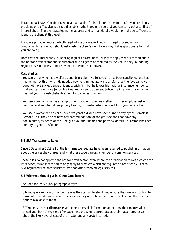Paragraph 8.1 says 'You identify who you are acting for in relation to any matter.' If you are simply providing one-off advice you should establish who the client is so that you can carry out a conflict of interest check. The client's stated name, address and contact details would normally be sufficient to identify the client at this level.

If you are providing more in-depth legal advice or casework, acting in legal proceedings or conducting litigation, you should establish the client's identity in a way that is appropriate to what you are doing.

Note that the Anti-Money Laundering regulations are most unlikely to apply to work carried out in the not for profit sector and so customer due diligence as required by the Anti-Money Laundering regulations is not likely to be relevant (see section 4.1 above).

#### **Case studies**

You see a man who has a welfare benefits problem. He tells you he has been sanctioned and has had no money this month. He needs a payment immediately and a referral to the foodbank. He does not have any evidence of identity with him; but he knows his national insurance number so that you can telephone Jobcentre Plus. You agree to do so and Jobcentre Plus confirms what he has told you. This establishes his identity to your satisfaction.

You see a woman who has an employment problem. She has a letter from her employer asking her to attend an internal disciplinary hearing. This establishes her identity to your satisfaction.

You see a woman with a child under five years old who have been turned away by the Homeless Persons Unit. They do not have any accommodation for tonight. She does not have any documentary evidence of this. She gives you their names and personal details. This establishes her identity to your satisfaction.

#### **5.2 SRA Transparency Rules**

Since 6 December 2018, all of the law firms we regulate have been required to publish information about the prices they charge, and what these cover, across a number of common services.

These rules do not apply to the not for profit sector, even where the organisation makes a charge for its services, as most of the rules only apply to practices which are regulated as entities by us or to SRA-regulated freelance solicitors, who can offer reserved legal services.

#### **5.3 What you should put in 'Client Care' letters**

The Code for Individuals, paragraph 8 says:

8.6 You give *clients* information in a way they can understand. You ensure they are in a position to make informed decisions about the services they need, how their matter will be handled and the options available to them.

8.7 You ensure that *clients* receive the best possible information about how their matter will be priced and, both at the time of engagement and when appropriate as their matter progresses, about the likely overall cost of the matter and any *costs* incurred.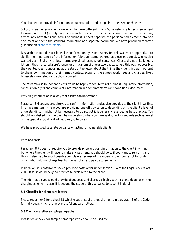You also need to provide information about regulation and complaints – see section 6 below.

Solicitors use the term 'client care letter' to mean different things. Some refer to a letter or email sent following an initial (or only) interaction with the client, which covers confirmation of instructions, advice, any next steps and 'terms of business'. Others separate the personalised element into one document and send the standard information as a separate document. We have produced separate guidance on [client care letters.](https://www.sra.org.uk/solicitors/guidance/ethics-guidance/client-care-letters/)

Research has found that clients like confirmation by letter as they felt this was more appropriate to signify the importance of the information (although some wanted an electronic copy). Clients also wanted plain English with legal terms explained, using short sentences. Clients did not like lengthy letters – they indicated a preference for a maximum of one or two pages. Where this was not possible, they wanted clear signposting at the start of the letter about the things they identified as important to them; confirmation of their named contact, scope of the agreed work, fees and charges, likely timescales, next steps and action required.

The research also found that clients would be happy to see: terms of business, regulatory information, cancellation rights and complaints information in a separate 'terms and conditions' document.

#### *Providing information in a way that clients can understand*

Paragraph 8.6 does not require you to confirm information and advice provided to the client in writing. In simple matters, where you are providing one-off advice only, depending on the client's level of understanding, it might not be necessary to do so; but it is generally regarded as best practice. You should be satisfied that the client has understood what you have said. Quality standards such as Lexcel or the Specialist Quality Mark require you to do so.

We have produced separate guidance on acting for vulnerable clients.

#### *Price and costs*

Paragraph 8.7 does not require you to provide price and costs information to the client in writing; but where the client will have to make any payment, you should do so if you want to rely on it and this will also help to avoid possible complaints because of misunderstanding. Some not for profit organisations do not charge fees but do ask clients to pay disbursements.

In litigation, it is possible to seek a pro bono costs order under section 194 of the Legal Services Act 2007. If so, it would be good practice to explain this to the client.

The information you should provide about costs and charges is highly technical and depends on the charging scheme in place. It is beyond the scope of this guidance to cover it in detail.

#### **5.4 Checklist for client care letters**

Please see annex 1 for a checklist which gives a list of the requirements in paragraph 8 of the Code for Individuals which are relevant to 'client care' letters.

#### **5.5 Client care letter sample paragraphs**

Please see annex 2 for sample paragraphs which could be used by: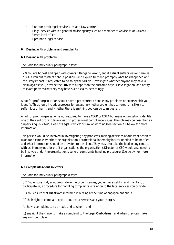- A not for profit legal service such as a Law Centre
- A legal service within a general advice agency such as a member of AdviceUK or Citizens Advice local office
- A pro bono legal service

## **6 Dealing with problems and complaints**

#### **6.1 Dealing with problems**

The Code for Individuals, paragraph 7 says:

7.9 You are honest and open with *clients* if things go wrong, and if a *client* suffers loss or harm as a result you put matters right (if possible) and explain fully and promptly what has happened and the likely impact. If requested to do so by the *SRA* you investigate whether anyone may have a claim against you, provide the *SRA* with a report on the outcome of your investigation, and notify relevant persons that they may have such a claim, accordingly.

A not for profit organisation should have a procedure to handle any problems or errors which you identify. This should include a process for assessing whether a client has suffered, or is likely to suffer, loss or harm, and whether there is anything you can do to mitigate it.

A not for profit organisation is not required to have a COLP or COFA but many organisations identify one of their solicitors to take a lead on professional compliance issues. The role may be described as 'Supervising Solicitor', 'Head of Legal Practice' or similar wording (see section 7.1 below for more information).

This person would be involved in investigating any problems, making decisions about what action to take, for example whether the organisation's professional indemnity insurer needed to be notified, and what information should be provided to the client. They may also take the lead in any contact with us. In many not for profit organisations, the organisation's Director or CEO would also need to be involved under the organisation's general complaints handling procedure. See below for more information.

## **6.2 Complaints about solicitors**

The Code for Individuals, paragraph 8 says:

8.2 You ensure that, as appropriate in the circumstances, you either establish and maintain, or participate in, a procedure for handling complaints in relation to the legal services you provide.

8.3 You ensure that *clients* are informed in writing at the time of engagement about:

(a) their right to complain to you about your services and your charges;

(b) how a complaint can be made and to whom; and

(c) any right they have to make a complaint to the *Legal Ombudsman* and when they can make any such complaint.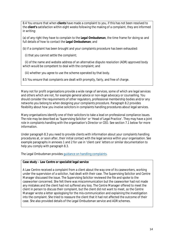8.4 You ensure that when *clients* have made a complaint to you, if this has not been resolved to the *client's* satisfaction within eight weeks following the making of a complaint, they are informed in writing:

(a) of any right they have to complain to the *Legal Ombudsman*, the time frame for doing so and full details of how to contact the *Legal Ombudsman*; and

(b) if a complaint has been brought and your complaints procedure has been exhausted:

(i) that you cannot settle the complaint;

(ii) of the name and website address of an alternative dispute resolution (ADR) approved body which would be competent to deal with the complaint; and

(iii) whether you agree to use the scheme operated by that body.

8.5 You ensure that complaints are dealt with promptly, fairly, and free of charge.

Many not for profit organisations provide a wide range of services, some of which are legal services and others which are not, for example general advice or non-legal advocacy or counselling. You should consider the requirements of other regulators, professional membership bodies and/or any networks you belong to when designing your complaints procedure. Paragraph 8.2 provides flexibility about how you involve solicitors in complaints handling procedures about legal services.

Many organisations identify one of their solicitors to take a lead on professional compliance issues. The role may be described as 'Supervising Solicitor' or 'Head of Legal Practice'. They may have a joint role in complaints handling with the organisation's Director or CEO. See section 7.1 below for more information.

Under paragraph 8.3 you need to provide clients with information about your complaints handling procedures at, or soon after, their initial contact with the legal service within your organisation. See example paragraphs in annexes 1 and 2 for use in 'client care' letters or similar documentation to help you comply with paragraph 8.3.

The Legal Ombudsman provide[s guidance on handling complaints.](https://www.legalombudsman.org.uk/portfolio-category/publications/guidance-and-resources/)

#### **Case study – Law Centre or specialist legal service**

A Law Centre received a complaint from a client about the way one of its caseworkers, working under the supervision of a solicitor, had dealt with their case. The Supervising Solicitor and Centre Manager discussed the issue. The Supervising Solicitor reviewed the file and spoke to the caseworker concerned. She felt there was miscommunication but the caseworker had not made any mistakes and the client had not suffered any loss. The Centre Manager offered to meet the client in person to discuss their complaint, but the client did not want to meet, so the Centre Manager wrote a letter apologising for the mis-communication and explaining the investigation into the complaint. She tried to reassure the client that it had not affected the outcome of their case. She also provided details of the Legal Ombudsman service and ADR schemes.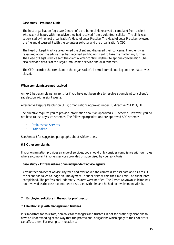#### **Case study – Pro Bono Clinic**

The host organisation (eg a Law Centre) of a pro bono clinic received a complaint from a client who was not happy with the advice they had received from a volunteer solicitor. The clinic was supervised by the host organisation's Head of Legal Practice. The Head of Legal Practice reviewed the file and discussed it with the volunteer solicitor and the organisation's CEO.

The Head of Legal Practice telephoned the client and discussed their concerns. The client was reassured about the advice they had received and did not want to take the matter any further. The Head of Legal Practice sent the client a letter confirming their telephone conversation. She also provided details of the Legal Ombudsman service and ADR schemes.

The CEO recorded the complaint in the organisation's internal complaints log and the matter was closed.

#### **When complaints are not resolved**

Annex 3 has example paragraphs for if you have not been able to resolve a complaint to a client's satisfaction within eight weeks.

Alternative Dispute Resolution (ADR) organisations approved under EU directive 2013/11/EU

The directive requires you to provide information about an approved ADR scheme. However, you do not have to use any such schemes. The following organisations are approved ADR schemes:

- [Ombudsman Services](https://www.ombudsman-services.org/)
- [ProMediate](https://www.promediate.co.uk/)

See Annex 3 for suggested paragraphs about ADR entities.

#### **6.3 Other complaints**

If your organisation provides a range of services, you should only consider compliance with our rules where a complaint involves services provided or supervised by your solicitor(s).

#### **Case study – Citizens Advice or an independent advice agency**

A volunteer adviser at Advice Anytown had overlooked the correct dismissal date and as a result the client had failed to lodge an Employment Tribunal claim within the time limit. The client later complained. The professional indemnity insurers were notified. The Advice Anytown solicitor was not involved as the case had not been discussed with him and he had no involvement with it.

#### **7 Employing solicitors in the not for profit sector**

#### **7.1 Relationship with managers and trustees**

It is important for solicitors, non-solicitor managers and trustees in not for profit organisations to have an understanding of the way that the professional obligations which apply to their solicitors can affect them. For example, in relation to: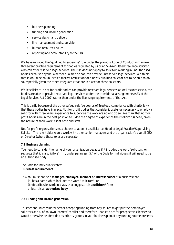- business planning
- funding and income generation
- service design and delivery
- line management and supervision
- human resources issues
- reporting and accountability to the SRA.

We have replaced the 'qualified to supervise' rule under the previous Code of Conduct with a new three-year practice requirement for bodies regulated by us or an SRA-regulated freelance solicitor, who can offer reserved legal services. The rule does not apply to solicitors working in unauthorised bodies because anyone, whether qualified or not, can provide unreserved legal services. We think that it would be an unjustified market restriction for a newly qualified solicitor not to be able to do so, especially given the other safeguards that are in place for those solicitors.

While solicitors in not for profit bodies can provide reserved legal services as well as unreserved, the bodies are able to provide reserved legal services under the transitional arrangements (s23 of the Legal Services Act 2007) rather than under the licensing requirements of that Act.

This is partly because of the other safeguards (eg boards of Trustees, compliance with charity law) that these bodies have in place. Not for profit bodies that consider it useful or necessary to employ a solicitor with three years' experience to supervise the work are able to do so. We think that not for profit bodies are in the best position to judge the degree of experience their solicitor(s) need, given the nature of their work, client base and staff.

Not for profit organisations may choose to appoint a solicitor as Head of Legal Practice/Supervising Solicitor. The role-holder would work with other senior managers and the organisation's overall CEO or Director (where those roles are separate).

## **7.2 Business planning**

You need to consider the name of your organisation because if it includes the word 'solicitors' or suggests that it is a solicitors' firm, under paragraph 5.4 of the Code for Individuals it will need to be an authorised body.

The Code for Individuals states:

| 5.4 You must not be a <i>manager</i> ; employee, member or interest holder of a business that:<br>(a) has a name which includes the word "solicitors"; or<br>(b) describes its work in a way that suggests it is a <b><i>solicitors'</i></b> firm; |
|----------------------------------------------------------------------------------------------------------------------------------------------------------------------------------------------------------------------------------------------------|
| unless it is an <i>authorised body</i> .                                                                                                                                                                                                           |

## **7.3 Funding and income generation**

Trustees should consider whether accepting funding from any source might put their employed solicitors at risk of an 'own-interest' conflict and therefore unable to act for prospective clients who would otherwise be identified as priority groups in your business plan. If any funding source presents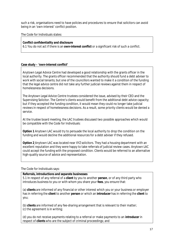such a risk, organisations need to have policies and procedures to ensure that solicitors can avoid being in an 'own-interest' conflict position.

The Code for Individuals states:

#### **Conflict confidentiality and disclosure**

6.1 You do not act if there is an *own-interest conflict* or a significant risk of such a conflict.

#### **Case study – 'own-interest conflict'**

Anytown Legal Advice Centre had developed a good relationship with the grants officer in the local authority. The grants officer recommended that the authority should fund a debt adviser to work with social tenants; but one of the councillors wanted to make it a condition of the funding that the legal advice centre did not take any further judicial reviews against them in respect of homelessness decisions.

The Anytown Legal Advice Centre trustees considered the issue, advised by their CEO and the Supervising Solicitor. The Centre's clients would benefit from the additional debt advice capacity; but if they accepted the funding condition, it would mean they could no longer take judicial reviews in respect of homelessness decisions. As a result, some priority clients would be denied a service.

At the trustee board meeting, the LAC trustees discussed two possible approaches which would be compatible with the Code for Individuals:

**Option 1** Anytown LAC would try to persuade the local authority to drop the condition on the funding and would decline the additional resources for a debt adviser if they refused.

**Option 2** Anytown LAC was located near XYZ solicitors. They had a housing department with an excellent reputation and they were happy to take referrals of judicial review cases. Anytown LAC could accept the funding with the proposed condition. Clients would be referred to an alternative high-quality source of advice and representation.

The Code for Individuals says:

#### **Referrals, introductions and separate businesses**

5.1 In respect of any referral of a *client* by you to another *person*, or of any third party who introduces business to you or with whom you share your *fees*, you ensure that:

(a) *clients* are informed of any financial or other interest which you or your business or employer has in referring the *client* to another *person* or which an *introducer* has in referring the *client* to you;

(b) *clients* are informed of any fee-sharing arrangement that is relevant to their matter; (c) the agreement is in writing;

(d) you do not receive payments relating to a referral or make payments to an *introducer* in respect of *clients* who are the subject of criminal proceedings; and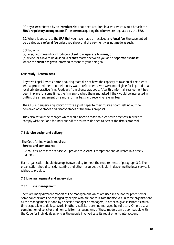(e) any *client* referred by an *introducer* has not been acquired in a way which would breach the *SRA's regulatory arrangements* if the *person* acquiring the *client* were regulated by the *SRA*.

5.2 Where it appears to the *SRA* that you have made or received a *referral fee*, the payment will be treated as a *referral fee* unless you show that the payment was not made as such.

5.3 You only:

(a) refer, recommend or introduce a *client* to a *separate business*; or

(b) divide, or allow to be divided, a *client's* matter between you and a *separate business*; where the *client* has given informed consent to your doing so.

#### **Case study - Referral fees**

Anytown Legal Advice Centre's housing team did not have the capacity to take on all the clients who approached them, so their policy was to refer clients who were not eligible for legal aid to a local private practice firm. Feedback from clients was good. After this informal arrangement had been in place for some time, the firm approached them and asked if they would be interested in putting the arrangement on a more formal basis and receiving referral fees.

The CEO and supervising solicitor wrote a joint paper to their trustee board setting out the perceived advantages and disadvantages of the firm's proposal.

They also set out the changes which would need to made to client care practices in order to comply with the Code for Individuals if the trustees decided to accept the firm's proposal.

#### **7.4 Service design and delivery**

The Code for Individuals requires:

#### **Service and competence**

3.2 You ensure that the service you provide to *clients* is competent and delivered in a timely manner.

Each organisation should develop its own policy to meet the requirements of paragraph 3.2. The organisation should consider staffing and other resources available, in designing the legal service it wishes to provide.

#### **7.5 Line management and supervision**

#### **7.5.1 Line management**

There are many different models of line management which are used in the not for profit sector. Some solicitors are line-managed by people who are not solicitors themselves. In some organisations all the management is done by a specific manager or managers, in order to give solicitors as much time as possible to do legal work. In others, solicitors are line-managed by solicitors. Others use a combination of solicitor and non-solicitor managers. Any of these models can be compatible with the Code for Individuals as long as the people involved take its requirements into account.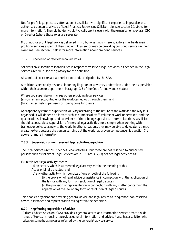Not for profit legal practices often appoint a solicitor with significant experience in practice as an authorised person to a Head of Legal Practice/Supervising Solicitor role (see section 7.1 above for more information). The role holder would typically work closely with the organisation's overall CEO or Director (where those roles are separate).

Much not for profit legal work is delivered in pro bono settings where solicitors may be delivering pro bono services as part of their paid employment or may be providing pro bono services in their own time. See section 8 below for more information about pro bono services.

## *7.5.2 Supervision of reserved legal activities*

Solicitors have specific responsibilities in respect of 'reserved legal activities' as defined in the Legal Services Act 2007 (see the glossary for the definition).

All admitted solicitors are authorised to conduct litigation by the SRA.

A solicitor is personally responsible for any litigation or advocacy undertaken under their supervision within their team or department. Paragraph 3.5 of the Code for Individuals states:

Where you supervise or manage others providing legal services: (a) you remain accountable for the work carried out through them; and (b) you effectively supervise work being done for clients.

Appropriate systems of supervision will vary according to the nature of the work and the way it is organised. It will depend on factors such as numbers of staff, volume of work undertaken, and the qualifications, knowledge and experience of those being supervised. In some situations, a solicitor should exercise close supervision of reserved legal activities, for example when working with trainees or colleagues new to the work. In other situations, they may be able to delegate to a much greater extent because the person carrying out the work has proven competence. See section 7.1 above for more information.

#### **7.5.3 Supervision of non-reserved legal activities, eg advice**

The Legal Services Act 2007 defines 'legal activities'; but these are not reserved to authorised persons such as solicitors. Legal Services Act 2007 Part 3(12)(3) defines legal activities as:

(3) In this Act "legal activity" means—

- (a) an activity which is a reserved legal activity within the meaning of this
- Act as originally enacted, and
- (b) any other activity which consists of one or both of the following—

(i) the provision of legal advice or assistance in connection with the application of the law or with any form of resolution of legal disputes;

(ii) the provision of representation in connection with any matter concerning the application of the law or any form of resolution of legal disputes.

This enables organisations providing general advice and legal advice to 'ring-fence' non-reserved advice, assistance and representation falling within the definition.

#### **Q&A – ring fencing supervision of advice**

Citizens Advice Anytown (CAA) provides a general advice and information service across a wide range of topics. In housing it provides general information and advice. It also has a solicitor who takes on some housing cases referred by the generalist advice service.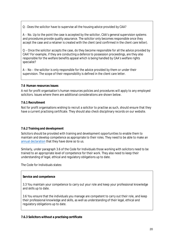Q - Does the solicitor have to supervise all the housing advice provided by CAA?

A – No. Up to the point the case is accepted by the solicitor, CAA's general supervision systems and procedures provide quality assurance. The solicitor only becomes responsible once they accept the case and a retainer is created with the client (and confirmed in the client care letter).

Q – Once the solicitor accepts the case, do they become responsible for all the advice provided by CAA? For example, if they are conducting a defence to possession proceedings, are they also responsible for the welfare benefits appeal which is being handled by CAA's welfare rights specialist?

A – No – the solicitor is only responsible for the advice provided by them or under their supervision. The scope of their responsibility is defined in the client care letter.

#### **7.6 Human resources issues**

A not for profit organisation's human resources policies and procedures will apply to any employed solicitors. Issues where there are additional considerations are shown below.

#### **7.6.1 Recruitment**

Not for profit organisations wishing to recruit a solicitor to practise as such, should ensure that they have a current practising certificate. They should also check disciplinary records on our website.

#### **7.6.2 Training and development**

Solicitors should be provided with training and development opportunities to enable them to maintain and develop competence as appropriate to their roles. They need to be able to make an [annual declaration t](http://www.sra.org.uk/solicitors/cpd/tool-kit/resources/annual-declaration.page)hat they have done so to us.

Similarly, under paragraph 3.6 of the Code for Individuals those working with solicitors need to be trained to an appropriate level of competence for their work. They also need to keep their understanding of legal, ethical and regulatory obligations up to date.

The Code for Individuals states:

#### **Service and competence**

3.3 You maintain your competence to carry out your role and keep your professional knowledge and skills up to date.

3.6 You ensure that the individuals you manage are competent to carry out their role, and keep their professional knowledge and skills, as well as understanding of their legal, ethical and regulatory obligations up to date.

#### **7.6.3 Solicitors without a practising certificate**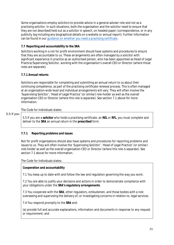Some organisations employ solicitors to provide advice in a general adviser role and not as a practising solicitor. In such situations, both the organisation and the solicitor need to ensure that they are not described/held out as a solicitor in speech, on headed paper /correspondence, or in any publicity (eg including any biographical details on a website or annual report). Further information can be found in ou[r guidance on whether you need a practising certificate.](https://www.sra.org.uk/solicitors/guidance/ethics-guidance/when-do-i-need-a-practising-certificate-/)

## **7.7 Reporting and accountability to the SRA**

Solicitors working in a not for profit environment should have systems and procedures to ensure that they are accountable to us. These arrangements are often managed by a solicitor with significant experience in practice as an authorised person, who has been appointed as Head of Legal Practice/Supervising Solicitor, working with the organisation's overall CEO or Director (where those roles are separate).

## **7.7.1 Annual returns**

Solicitors are responsible for completing and submitting an annual return to us about their continuing competence, as part of the practising certificate renewal process. This is often managed at an organisation-wide level and individual arrangements will vary. They will often involve the 'Supervising Solicitor', 'Head of Legal Practice' (or similar) role-holder as well as the overall organisation CEO or Director (where this role is separate). See section 7.1 above for more information.

## The Code for Individuals states:

#### 5.5 If you

5.5 If you are a *solicitor* who holds a practising certificate, an *REL* or *RFL*, you must complete and deliver to the *SRA* an annual return in the *prescribed* form.

## **7.7.1 Reporting problems and issues**

Not for profit organisations should also have systems and procedures for reporting problems and issues to us. They will often involve the 'Supervising Solicitor', 'Head of Legal Practice' (or similar) role-holder as well as the overall organisation CEO or Director (where this role is separate). See section 7.1 above for more information.

The Code for Individuals states:

## **Cooperation and accountability**

7.1 You keep up to date with and follow the law and regulation governing the way you work.

7.2 You are able to justify your decisions and actions in order to demonstrate compliance with your obligations under the *SRA's regulatory arrangements*.

7.3 You cooperate with the *SRA*, other regulators, ombudsmen, and those bodies with a role overseeing and supervising the delivery of, or investigating concerns in relation to, legal services.

7.4 You respond promptly to the *SRA* and:

(a) provide full and accurate explanations, information and documents in response to any request or requirement; and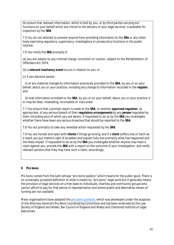(b) ensure that relevant information, which is held by you, or by third parties carrying out functions on your behalf which are critical to the delivery of your legal services, is available for inspection by the *SRA*.

7.5 You do not attempt to prevent anyone from providing information to the *SRA* or any other body exercising regulatory, supervisory, investigatory or prosecutory functions in the public interest.

7.6 You notify the *SRA* promptly if:

(a) you are subject to any criminal charge, conviction or caution, subject to the Rehabilitation of Offenders Act 1974;

(b) a *relevant insolvency event* occurs in relation to you; or

(c) if you become aware:

(i) of any material changes to information previously provided to the *SRA*, by you or on your behalf, about you or your practice, including any change to information recorded in the *register*; and

(ii) that information provided to the *SRA*, by you or on your behalf, about you or your practice is or may be false, misleading, incomplete or inaccurate.

7.7 You ensure that a prompt report is made to the *SRA*, or another *approved regulator*, as appropriate, of any serious breach of their *regulatory arrangements* by any *person* regulated by them (including you) of which you are aware. If requested to do so by the *SRA* you investigate whether there have been any serious breaches that should be reported to the *SRA*.

7.8 You act promptly to take any remedial action requested by the *SRA*.

7.9 You are honest and open with *clients* if things go wrong, and if a *client* suffers loss or harm as a result you put matters right (if possible) and explain fully and promptly what has happened and the likely impact. If requested to do so by the *SRA* you investigate whether anyone may have a claim against you, provide the *SRA* with a report on the outcome of your investigation, and notify relevant persons that they may have such a claim, accordingly.

#### **8 Pro bono**

Pro bono comes from the Latin phrase "pro bono publico" which means for the public good. There is no universally accepted definition of what is meant by "pro bono" legal work but it generally means the provision of legal services on a free basis to individuals, charities and community groups who cannot afford to pay for that advice or representation and where public and alternative means of funding are not available.

Many organisations have adopted the [pro bono protocol,](https://www.lawworks.org.uk/why-pro-bono/what-pro-bono/pro-bono-protocol) which was developed under the auspices of the Attorney General's Pro Bono Coordinating Committee and has been endorsed by the Law Society of England and Wales, Bar Council of England and Wales and Chartered Institute of Legal Executives.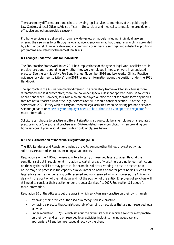There are many different pro bono clinics providing legal services to members of the public, eg in Law Centres, at local Citizens Advice offices, in Universities and medical settings. Some provide oneoff advice and others provide casework.

Pro bono services are delivered through a wide variety of models including; individual lawyers offering their services to or through a local advice agency on an ad hoc basis, regular clinics provided by a firm or panel of lawyers, delivered in community or university settings, and substantial pro bono programmes delivered by the largest law firms.

## **8.1 Changes under the Code for Individuals**

The SRA Practice Framework Rules 2011 had implications for the type of legal work a solicitor could provide 'pro bono', depending on whether they were employed in-house or were in a regulated practice. See the Law Society's Pro Bono Manual November 2016 and LawWorks 'Clinics: Practice guidance for volunteer solicitors' June 2018 for more information about the position under the 2011 Handbook.

The approach in the AIRs is completely different. The regulatory framework for solicitors is more streamlined and less prescriptive; there are no longer special rules that apply to in-house solicitors or pro bono work. However, solicitors who are employed outside the not for profit sector by bodies that are not authorised under the Legal Services Act 2007 should consider section 15 of the Legal Services Act 2007, if they wish to carry on reserved legal activities when delivering pro bono services. See our guidance on [whether your employer needs to be authorised by an approved regulator](http://www.sra.org.uk/solicitors/code-of-conduct/guidance/guidance/Does-my-employer-need-to-be-authorised-by-an-approved-regulator-.page) for more information.

Solicitors can choose to practise in different situations, so you could be an employee of a regulated practice in your 'day job' and practise as an SRA-regulated freelance solicitor when providing pro bono services. If you do so, different rules would apply, see below.

## **8.2 The Authorisation of Individuals Regulations (AIRs)**

The SRA Standards and Regulations include the AIRs. Among other things, they set out what solicitors are authorised to do, including as volunteers.

Regulation 9 of the AIRS authorises solicitors to carry on reserved legal activities. Beyond the conditions set out in regulation 9 in relation to certain areas of work, there are no longer restrictions on the way that solicitors may practise, for example, solicitors working in private practice or inhouse may also practise in the capacity as a volunteer on behalf of not for profit bodies, such as free legal advice centres, undertaking both reserved and non-reserved activity. However, the AIRs only deal with the position of the individual and not the position of the entity. Employers of solicitors will still need to consider their position under the Legal Services Act 2007. See section 8.1 above for more information.

Regulation 10 of the AIRs sets out the ways in which solicitors may practise on their own, namely:

- by having their practice authorised as a recognised sole practice
- by having a practice that consists entirely of carrying on activities that are non-reserved legal activities
- under regulation 10.2(b), which sets out the circumstances in which a solicitor may practise on their own and carry on reserved legal activities including: having adequate and appropriate PII and being engaged directly by the client.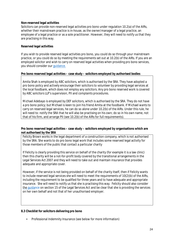#### **Non-reserved legal activities**

Solicitors can provide non-reserved legal activities pro bono under regulation 10.2(a) of the AIRs, whether their mainstream practice is in-house, as the owner/manager of a legal practice, an employee of a legal practice or as a sole practitioner. However, they will need to notify us that they are practising in this way.

## **Reserved legal activities**

If you wish to provide reserved legal activities pro bono, you could do so through your mainstream practice, or you could do so by meeting the requirements set out at 10.2(b) of the AIRs. If you are an employed solicitor and wish to carry on reserved legal activities when providing pro bono services, you should consider our [guidance.](http://www.sra.org.uk/solicitors/code-of-conduct/guidance/guidance/Does-my-employer-need-to-be-authorised-by-an-approved-regulator-.page)

## **Pro bono reserved legal activities – case study – solicitors employed by authorised bodies**

Amita Shah is employed by ABC solicitors, which is authorised by the SRA. They have adopted a pro bono policy and actively encourage their solicitors to volunteer by providing legal services at the local foodbank, which does not employ any solicitors. Any pro bono reserved work is covered by ABC solicitors LLP's supervision, PII and complaints procedures.

Michael Adebayo is employed by DEF solicitors, which is authorised by the SRA. They do not have a pro bono policy; but Michael is keen to join his friend Amita at the foodbank. If Michael wants to carry on reserved legal services, he can do so alone under 10.2(b) of the AIRs. Under this rule, he will need to: notify the SRA that he will also be practising on his own; do so in his own name, not that of his firm, and arrange PII (see 10.2(b) of the AIRs for full requirements).

#### **Pro bono reserved legal activities – case study – solicitors employed by organisations which are not authorised by the SRA**

Felicity Brown works in the legal department of a construction company, which is not authorised by the SRA. She wants to do pro bono legal work that includes some reserved legal activity for those members of the public that contact a particular charity

If Felicity is clearly providing this service on behalf of the charity (for example it is a law clinic) then this charity will be a not-for-profit body covered by the transitional arrangements in the Legal Services Act 2007 and they will need to take out and maintain insurance that provides adequate and appropriate cover.

However, if the service is not being provided on behalf of the charity itself, then if Felicity wants to include reserved legal services she will need to meet the requirements of 10(2)(b) of the AIRs, including the requirement to be qualified for three years and to have adequate and appropriate insurance. She will need to notify us that she is practising this way. Felicity should also consider [the guidan](http://www.sra.org.uk/solicitors/code-of-conduct/guidance/guidance/Does-my-employer-need-to-be-authorised-by-an-approved-regulator-.page)ce on section 15 of the Legal Services Act and be clear that she is providing the services on her own behalf and not that of her unauthorised employer.

#### **8.3 Checklist for solicitors delivering pro bono**

• Professional Indemnity Insurance (see below for more information)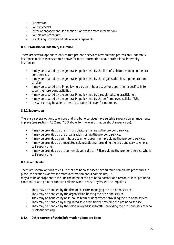- Supervision
- Conflict checks
- Letter of engagement (see section 5 above for more information)
- Complaints procedure
- File closing, storage and retrieval arrangements

## **8.3.1 Professional Indemnity Insurance**

There are several options to ensure that pro bono services have suitable professional indemnity insurance in place (see section 3 above for more information about professional indemnity insurance).

- It may be covered by the general PII policy held by the firm of solicitors managing the pro bono service.
- It may be covered by the general PII policy held by the organisation hosting the pro bono service.
- It may be covered on a PII policy held by an in-house team or department specifically to cover their pro bono activities.
- It may be covered by the general PII policy held by a regulated sole practitioner.
- It may be covered by the general PII policy held by the self-employed solicitor/REL.
- LawWorks may be able to identify suitable PII cover for members.

## **8.3.2 Supervision**

There are several options to ensure that pro bono services have suitable supervision arrangements in place (see sections 7.5.2 and 7.5.3 above for more information about supervision).

- It may be provided by the firm of solicitors managing the pro bono service.
- It may be provided by the organisation hosting the pro bono service.
- It may be provided by an in-house team or department providing the pro bono service.
- It may be provided by a regulated sole practitioner providing the pro bono service who is self-supervising.
- It may be provided by the self-employed solicitor/REL providing the pro bono service who is self-supervising.

## **8.3.3 Complaints**

There are several options to ensure that pro bono services have suitable complaints procedures in place (see section 6 above for more information about complaints). It

may also be appropriate to include the name of the pro bono partner or director, or local pro bono coordinator as a point of contact if clients want to raise any issues or complaints.

- They may be handled by the firm of solicitors managing the pro bono service.
- They may be handled by the organisation hosting the pro bono service.
- They may be handled by an in-house team or department providing the pro bono service.
- They may be handled by a regulated sole practitioner providing the pro bono service.
- They may be handled by the self-employed solicitor/REL providing the pro bono service who is self-supervising.

## **8.3.4 Other sources of useful information about pro bono**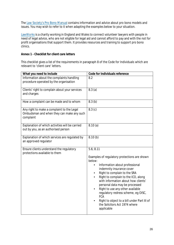The Law [Society's](http://www.lawsociety.org.uk/support-services/practice-management/pro-bono/pro-bono-manual/) Pro Bono Manual contains information and advice about pro bono models and issues. You may wish to refer to it when adapting the examples below to your situation.

[LawWorks i](https://www.lawworks.org.uk/)s a charity working in England and Wales to connect volunteer lawyers with people in need of legal advice, who are not eligible for legal aid and cannot afford to pay and with the not for profit organisations that support them. It provides resources and training to support pro bono clinics.

#### **Annex 1 - Checklist for client care letters**

This checklist gives a list of the requirements in paragraph 8 of the Code for Individuals which are relevant to 'client care' letters.

| What you need to include                                                                             | <b>Code for Individuals reference</b>                                                                                                                                                                                                                                                                                                                                                                                                                                                                                                             |
|------------------------------------------------------------------------------------------------------|---------------------------------------------------------------------------------------------------------------------------------------------------------------------------------------------------------------------------------------------------------------------------------------------------------------------------------------------------------------------------------------------------------------------------------------------------------------------------------------------------------------------------------------------------|
| Information about the complaints handling<br>procedure operated by the organisation                  | 8.2                                                                                                                                                                                                                                                                                                                                                                                                                                                                                                                                               |
| Clients' right to complain about your services<br>and charges                                        | 8.3(a)                                                                                                                                                                                                                                                                                                                                                                                                                                                                                                                                            |
| How a complaint can be made and to whom                                                              | 8.3(b)                                                                                                                                                                                                                                                                                                                                                                                                                                                                                                                                            |
| Any right to make a complaint to the Legal<br>Ombudsman and when they can make any such<br>complaint | 8.3(c)                                                                                                                                                                                                                                                                                                                                                                                                                                                                                                                                            |
| Explanation of which activities will be carried<br>out by you, as an authorised person               | 8.10(a)                                                                                                                                                                                                                                                                                                                                                                                                                                                                                                                                           |
| <b>Explanation of which services are regulated by</b><br>an approved regulator                       | 8.10(b)                                                                                                                                                                                                                                                                                                                                                                                                                                                                                                                                           |
| Ensure clients understand the regulatory<br>protections available to them                            | 5.6; 8.11<br>Examples of regulatory protections are shown<br>below:<br><b>Information about professional</b><br>$\bullet$<br>indemnity insurance cover<br>Right to complain to the SRA<br>$\bullet$<br>Right to complain to the ICO, along<br>$\bullet$<br>with information about how clients'<br>personal data may be processed<br>Right to use any other available<br>$\bullet$<br>regulatory redress scheme, eg OISC,<br><b>FCA</b><br>Right to object to a bill under Part III of<br>$\bullet$<br>the Solicitors Act 1974 where<br>applicable |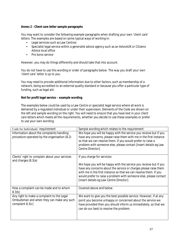#### **Annex 2 - Client care letter sample paragraphs**

You may want to consider the following example paragraphs when drafting your own 'client care' letters. The examples are based on some typical ways of working in:

- Legal services such as Law Centres
- Specialist legal service within a generalist advice agency such as an AdviceUK or Citizens Advice local office
- Pro bono service

However, you may do things differently and should take that into account.

You do not have to use this wording or order of paragraphs below. The way you draft your own 'client care' letter is up to you.

You may need to provide additional information due to other factors, such as membership of a network, being accredited to an external quality standard or because you offer a particular type of funding, such as legal aid.

## **Not for profit legal service – example wording**

The examples below could be used by a Law Centre or specialist legal service where all work is delivered by a regulated individual or under their supervision. Elements of the Code are shown on the left and sample wording on the right. You will need to ensure that you have text in your client care letters which meets all the requirements, whether you decide to use these examples or prefer to use your own wording.

| Sample wording which relates to the requirement                    |
|--------------------------------------------------------------------|
| We hope you will be happy with the service you receive but if you  |
| have any concerns, please raise them with me in the first instance |
| so that we can resolve them. If you would prefer to raise a        |
| problem with someone else, please contact [insert details eg Law   |
| <b>Centre Director].</b>                                           |
|                                                                    |
| If you charge for services:                                        |
| We hope you will be happy with the service you receive but if you  |
| have any concerns about the service or charges please raise them   |
| with me in the first instance so that we can resolve them. If you  |
| would prefer to raise a problem with someone else, please contact  |
| [insert details eg Law Centre Director].                           |
|                                                                    |
| <b>Covered above and below.</b>                                    |
| We want to give you the best possible service. However, if at any  |
| point you become unhappy or concerned about the service we         |
| have provided then you should inform us immediately, so that we    |
|                                                                    |
|                                                                    |
| can do our best to resolve the problem.                            |
|                                                                    |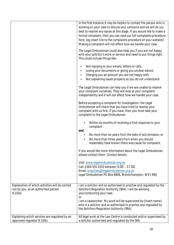|                                                 | In the first instance it may be helpful to contact the person who is  |
|-------------------------------------------------|-----------------------------------------------------------------------|
|                                                 | working on your case to discuss your concerns and we will do our      |
|                                                 | best to resolve any issues at this stage. If you would like to make a |
|                                                 | formal complaint, then you can read our full complaints procedure     |
|                                                 | here. [eg insert link to the complaints procedure on your website]    |
|                                                 | Making a complaint will not affect how we handle your case.           |
|                                                 |                                                                       |
|                                                 | The Legal Ombudsman could also help you if you are not happy          |
|                                                 | with your solicitor's work or service and need to put things right.   |
|                                                 | This could include things like:                                       |
|                                                 |                                                                       |
|                                                 | Not replying to your emails, letters or calls.<br>٠                   |
|                                                 | Losing your documents or giving you unclear advice.                   |
|                                                 | Charging you an amount you are not happy with.                        |
|                                                 | Not explaining issues properly so you do not understand               |
|                                                 |                                                                       |
|                                                 | The Legal Ombudsman can help you if we are unable to resolve          |
|                                                 | your complaint ourselves. They will look at your complaint            |
|                                                 | independently and it will not affect how we handle your case.         |
|                                                 |                                                                       |
|                                                 | Before accepting a complaint for investigation, the Legal             |
|                                                 | Ombudsman will check that you have tried to resolve your              |
|                                                 | complaint with us first. If you have, then you must take your         |
|                                                 | complaint to the Legal Ombudsman:                                     |
|                                                 |                                                                       |
|                                                 | Within six months of receiving a final response to your               |
|                                                 | complaint                                                             |
|                                                 | and                                                                   |
|                                                 | No more than six years from the date of act/omission; or<br>٠         |
|                                                 | No more than three years from when you should<br>$\bullet$            |
|                                                 | reasonably have known there was cause for complaint.                  |
|                                                 |                                                                       |
|                                                 | If you would like more information about the Legal Ombudsman,         |
|                                                 | please contact them. Contact details:                                 |
|                                                 | Visit: www.legalombudsman.org.uk                                      |
|                                                 | Call: 0300 555 0333 between 9.00 - 17.00.                             |
|                                                 | Email: enquiries@legalombudsman.org.uk                                |
|                                                 | Legal Ombudsman PO Box 6806, Wolverhampton, WV1 9WJ                   |
|                                                 |                                                                       |
|                                                 |                                                                       |
| Explanation of which activities will be carried | I am a solicitor and so authorised to practise and regulated by the   |
| out by you, as an authorised person             | Solicitors Regulation Authority (SRA). I will be advising             |
| 8.10(a)                                         | you/conducting your case.                                             |
|                                                 | or                                                                    |
|                                                 | I am a caseworker. My work will be supervised by [insert name]        |
|                                                 | who is a solicitor and so authorised to practise and regulated by     |
|                                                 | the Solicitors Regulation Authority (SRA).                            |
|                                                 |                                                                       |
| Explaining which services are regulated by an   | All legal work at the Law Centre is conducted and/or supervised by    |
| approved regulator 8.10(b)                      | a solicitor authorised and regulated by the SRA.                      |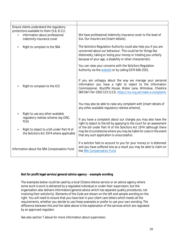| Ensure clients understand the regulatory                                                             |                                                                                                                                                                                                                                                                      |
|------------------------------------------------------------------------------------------------------|----------------------------------------------------------------------------------------------------------------------------------------------------------------------------------------------------------------------------------------------------------------------|
| protections available to them (5,6; 8.11):                                                           |                                                                                                                                                                                                                                                                      |
| <b>Information about professional</b><br>$\bullet$                                                   | We have professional indemnity insurance cover to the level of                                                                                                                                                                                                       |
| indemnity insurance cover                                                                            | £xx. Our insurers are [insert details].                                                                                                                                                                                                                              |
|                                                                                                      |                                                                                                                                                                                                                                                                      |
| Right to complain to the SRA                                                                         | The Solicitors Regulation Authority could also help you if you are<br>concerned about our behaviour. This could be for things like<br>dishonesty, taking or losing your money or treating you unfairly<br>because of your age, a disability or other characteristic. |
|                                                                                                      | You can raise your concerns with the Solicitors Regulation<br>Authority via the website or by calling 0370 606 2555.                                                                                                                                                 |
| Right to complain to the ICO                                                                         | If you are unhappy about the way we manage your personal<br>information you have a right to object to the Information<br>Commissioner, Wycliffe House, Water Lane, Wilmslow, Cheshire<br>SK9 5AF (Tel: 0303 123 1113). https://ico.org.uk/make-a-complaint/          |
|                                                                                                      | You may also be able to raise any complaint with [insert details of<br>any other available regulatory redress scheme].                                                                                                                                               |
| Right to use any other available<br>regulatory redress scheme (eg OISC,<br>FCA)                      | If you have a complaint about our charges you may also have the<br>right to object to the bill by applying to the court for an assessment                                                                                                                            |
| Right to object to a bill under Part III of<br>$\bullet$<br>the Solicitors Act 1974 where applicable | of the bill under Part III of the Solicitors Act 1974 (although there<br>may be circumstances where you may be liable for costs in the event<br>that any such application is unsuccessful).                                                                          |
| Information about the SRA Compensation Fund                                                          | If a solicitor fails to account to you for your money or is dishonest<br>and you have suffered loss as a result you may be able to claim on<br>the SRA Compensation Fund.                                                                                            |

#### **Not for profit legal service/general advice agency – example wording**

The examples below could be used by a local Citizens Advice service or an advice agency where some work is work is delivered by a regulated individual or under their supervision; but the organisation also delivers information/general advice which has separate quality procedures, not involving their solicitor(s). Elements of the Code are shown on the left and sample wording on the right. You will need to ensure that you have text in your client care letters which meets all the requirements, whether you decide to use these examples or prefer to use your own wording. The difference between this and the table above is the explanation of the services which are regulated by an approved regulator.

See also section 7 above for more information about supervision.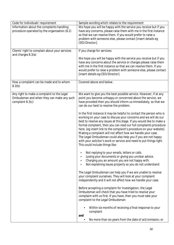| <b>Code for Individuals' requirement</b>          | Sample wording which relates to the requirement                                                                                       |
|---------------------------------------------------|---------------------------------------------------------------------------------------------------------------------------------------|
| Information about the complaints handling         | We hope you will be happy with the service you receive but if you                                                                     |
| procedure operated by the organisation (8.2)      | have any concerns, please raise them with me in the first instance                                                                    |
|                                                   | so that we can resolve them. If you would prefer to raise a                                                                           |
|                                                   | problem with someone else, please contact [insert details eg                                                                          |
|                                                   | CEO/Director].                                                                                                                        |
| Clients' right to complain about your services    | If you charge for services:                                                                                                           |
| and charges 8.3(a)                                |                                                                                                                                       |
|                                                   | We hope you will be happy with the service you receive but if you                                                                     |
|                                                   | have any concerns about the service or charges please raise them<br>with me in the first instance so that we can resolve them. If you |
|                                                   | would prefer to raise a problem with someone else, please contact                                                                     |
|                                                   | [insert details eg CEO/Director].                                                                                                     |
|                                                   |                                                                                                                                       |
| How a complaint can be made and to whom<br>8.3(b) | Covered above and below.                                                                                                              |
| Any right to make a complaint to the Legal        | We want to give you the best possible service. However, if at any                                                                     |
| Ombudsman and when they can make any such         | point you become unhappy or concerned about the service, we                                                                           |
| complaint 8.3(c)                                  | have provided then you should inform us immediately, so that we                                                                       |
|                                                   | can do our best to resolve the problem.                                                                                               |
|                                                   | In the first instance it may be helpful to contact the person who is                                                                  |
|                                                   | working on your case to discuss your concerns and we will do our                                                                      |
|                                                   | best to resolve any issues at this stage. If you would like to make a                                                                 |
|                                                   | formal complaint, then you can read our full complaints procedure                                                                     |
|                                                   | here. [eg insert link to the complaint's procedure on your website]                                                                   |
|                                                   | Making a complaint will not affect how we handle your case.                                                                           |
|                                                   | The Legal Ombudsman could also help you if you are not happy                                                                          |
|                                                   | with your solicitor's work or service and need to put things right.                                                                   |
|                                                   | This could include things like:                                                                                                       |
|                                                   | Not replying to your emails, letters or calls.                                                                                        |
|                                                   | Losing your documents or giving you unclear advice.                                                                                   |
|                                                   | Charging you an amount you are not happy with.                                                                                        |
|                                                   | Not explaining issues properly so you do not understand                                                                               |
|                                                   | The Legal Ombudsman can help you if we are unable to resolve                                                                          |
|                                                   | your complaint ourselves. They will look at your complaint                                                                            |
|                                                   | independently and it will not affect how we handle your case.                                                                         |
|                                                   | Before accepting a complaint for investigation, the Legal                                                                             |
|                                                   | Ombudsman will check that you have tried to resolve your                                                                              |
|                                                   | complaint with us first. If you have, then you must take your                                                                         |
|                                                   | complaint to the Legal Ombudsman:                                                                                                     |
|                                                   |                                                                                                                                       |
|                                                   | Within six months of receiving a final response to your<br>complaint                                                                  |
|                                                   | and                                                                                                                                   |
|                                                   | No more than six years from the date of act/omission; or                                                                              |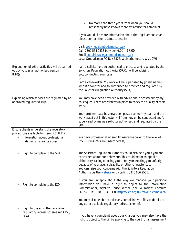|                                                                                                                                                                           | No more than three years from when you should<br>$\bullet$<br>reasonably have known there was cause for complaint.                                                                                                                                                                                                                                                                           |
|---------------------------------------------------------------------------------------------------------------------------------------------------------------------------|----------------------------------------------------------------------------------------------------------------------------------------------------------------------------------------------------------------------------------------------------------------------------------------------------------------------------------------------------------------------------------------------|
|                                                                                                                                                                           | If you would like more information about the Legal Ombudsman,<br>please contact them. Contact details:                                                                                                                                                                                                                                                                                       |
|                                                                                                                                                                           | Visit: www.legalombudsman.org.uk<br>Call: 0300 555 0333 between 9.00 - 17.00.<br>Email enquiries@legalombudsman.org.uk<br>Legal Ombudsman PO Box 6806, Wolverhampton, WV1 9WJ                                                                                                                                                                                                                |
| Explanation of which activities will be carried<br>out by you, as an authorised person<br>8.10(a)                                                                         | I am a solicitor and so authorised to practise and regulated by the<br>Solicitors Regulation Authority (SRA). I will be advising<br>you/conducting your case.<br>or                                                                                                                                                                                                                          |
|                                                                                                                                                                           | I am a caseworker. My work will be supervised by [insert name]<br>who is a solicitor and so authorised to practice and regulated by<br>the Solicitors Regulation Authority (SRA).                                                                                                                                                                                                            |
| Explaining which services are regulated by an<br>approved regulator 8.10(b)                                                                                               | You may have been provided with advice and/or casework by my<br>colleagues. There are systems in place to check the quality of their<br>work.                                                                                                                                                                                                                                                |
|                                                                                                                                                                           | Your problem/case has now been passed to me/my team and the<br>work as set out in this letter will from now on be conducted and/or<br>supervised by me as a solicitor authorised and regulated by the<br>SRA.                                                                                                                                                                                |
| Ensure clients understand the regulatory<br>protections available to them (5.6; 8.11):<br><b>Information about professional</b><br>$\bullet$<br>indemnity insurance cover | We have professional indemnity insurance cover to the level of<br>fxx. Our insurers are [insert details].                                                                                                                                                                                                                                                                                    |
| Right to complain to the SRA                                                                                                                                              | The Solicitors Regulation Authority could also help you if you are<br>concerned about our behaviour. This could be for things like<br>dishonesty, taking or losing your money or treating you unfairly<br>because of your age, a disability or other characteristic.<br>You can raise your concerns with the Solicitors Regulation<br>Authority via the website or by calling 0370 606 2555. |
| Right to complain to the ICO                                                                                                                                              | If you are unhappy about the way we manage your personal<br>information you have a right to object to the Information<br>Commissioner, Wycliffe House, Water Lane, Wilmslow, Cheshire<br>SK9 5AF (Tel: 0303 123 1113). https://ico.org.uk/make-a-complaint/                                                                                                                                  |
| Right to use any other available<br>٠                                                                                                                                     | You may also be able to raise any complaint with [insert details of<br>any other available regulatory redress scheme].                                                                                                                                                                                                                                                                       |
| regulatory redress scheme (eg OISC,<br>FCA)                                                                                                                               | If you have a complaint about our charges you may also have the<br>right to object to the bill by applying to the court for an assessment                                                                                                                                                                                                                                                    |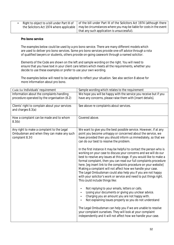| Right to object to a bill under Part III of $\parallel$ of the bill under Part III of the Solicitors Act 1974 (although there $\parallel$ |
|-------------------------------------------------------------------------------------------------------------------------------------------|
| the Solicitors Act 1974 where applicable   may be circumstances where you may be liable for costs in the event                            |
| that any such application is unsuccessful).                                                                                               |

#### **Pro bono service**

The examples below could be used by a pro bono service. There are many different models which are used to deliver pro bono services. Some pro bono services provide one-off advice through a rota of qualified lawyers or students, others provide on-going casework through a named solicitor.

Elements of the Code are shown on the left and sample wording on the right. You will need to ensure that you have text in your client care letters which meets all the requirements, whether you decide to use these examples or prefer to use your own wording.

The examples below will need to be adapted to reflect your situation. See also section 8 above for more information about pro bono.

| Code for Individuals' requirement                                                                                     | Sample wording which relates to the requirement                                                                                                                                                                                                                                                                                                                                                                                                                                                                                                                                                       |
|-----------------------------------------------------------------------------------------------------------------------|-------------------------------------------------------------------------------------------------------------------------------------------------------------------------------------------------------------------------------------------------------------------------------------------------------------------------------------------------------------------------------------------------------------------------------------------------------------------------------------------------------------------------------------------------------------------------------------------------------|
| Information about the complaints handling                                                                             | We hope you will be happy with the service you receive but if you                                                                                                                                                                                                                                                                                                                                                                                                                                                                                                                                     |
| procedure operated by the organisation (8.2)                                                                          | have any concerns, please raise them with [insert details].                                                                                                                                                                                                                                                                                                                                                                                                                                                                                                                                           |
| Clients' right to complain about your services<br>and charges 8.3(a)                                                  | See above re complaints about services.                                                                                                                                                                                                                                                                                                                                                                                                                                                                                                                                                               |
| How a complaint can be made and to whom<br>8.3(b)                                                                     | Covered above.                                                                                                                                                                                                                                                                                                                                                                                                                                                                                                                                                                                        |
| Any right to make a complaint to the Legal<br>Ombudsman and when they can make any such<br>complaint 8.3 <sup>©</sup> | We want to give you the best possible service. However, if at any<br>point you become unhappy or concerned about the service, we<br>have provided then you should inform us immediately, so that we<br>can do our best to resolve the problem.                                                                                                                                                                                                                                                                                                                                                        |
|                                                                                                                       | In the first instance it may be helpful to contact the person who is<br>working on your case to discuss your concerns and we will do our<br>best to resolve any issues at this stage. If you would like to make a<br>formal complaint, then you can read our full complaints procedure<br>here. [eg insert link to the complaints procedure on your website]<br>Making a complaint will not affect how we handle your case.<br>The Legal Ombudsman could also help you if you are not happy<br>with your solicitor's work or service and need to put things right.<br>This could include things like: |
|                                                                                                                       | Not replying to your emails, letters or calls.<br>$\bullet$<br>Losing your documents or giving you unclear advice.<br>$\bullet$<br>Charging you an amount you are not happy with.<br>Not explaining issues properly so you do not understand                                                                                                                                                                                                                                                                                                                                                          |
|                                                                                                                       | The Legal Ombudsman can help you if we are unable to resolve<br>your complaint ourselves. They will look at your complaint<br>independently and it will not affect how we handle your case.                                                                                                                                                                                                                                                                                                                                                                                                           |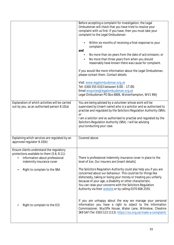|                                                                                                                                                                                                           | Before accepting a complaint for investigation, the Legal<br>Ombudsman will check that you have tried to resolve your<br>complaint with us first. If you have, then you must take your<br>complaint to the Legal Ombudsman:<br>Within six months of receiving a final response to your<br>complaint<br>and<br>No more than six years from the date of act/omission; or<br>No more than three years from when you should<br>reasonably have known there was cause for complaint.                                       |
|-----------------------------------------------------------------------------------------------------------------------------------------------------------------------------------------------------------|-----------------------------------------------------------------------------------------------------------------------------------------------------------------------------------------------------------------------------------------------------------------------------------------------------------------------------------------------------------------------------------------------------------------------------------------------------------------------------------------------------------------------|
|                                                                                                                                                                                                           | If you would like more information about the Legal Ombudsman,<br>please contact them. Contact details:                                                                                                                                                                                                                                                                                                                                                                                                                |
|                                                                                                                                                                                                           | Visit: www.legalombudsman.org.uk<br>Tel: 0300 555 0333 between 9.00 - 17.00.<br>Email enquiries@legalombudsman.org.uk<br>Legal Ombudsman PO Box 6806, Wolverhampton, WV1 9WJ                                                                                                                                                                                                                                                                                                                                          |
| Explanation of which activities will be carried<br>out by you, as an authorised person 8.10(a)                                                                                                            | You are being advised by a volunteer whose work will be<br>supervised by [insert name] who is a solicitor and so authorised to<br>practise and regulated by the Solicitors Regulation Authority (SRA).<br>or<br>I am a solicitor and so authorised to practise and regulated by the<br>Solicitors Regulation Authority (SRA). I will be advising<br>you/conducting your case.                                                                                                                                         |
| Explaining which services are regulated by an<br>approved regulator 8.10(b)                                                                                                                               | Covered above.                                                                                                                                                                                                                                                                                                                                                                                                                                                                                                        |
| Ensure clients understand the regulatory<br>protections available to them (5.6; 8.11):<br><b>Information about professional</b><br>indemnity insurance cover<br>Right to complain to the SRA<br>$\bullet$ | There is professional indemnity insurance cover in place to the<br>level of £xx. Our insurers are [insert details].<br>The Solicitors Regulation Authority could also help you if you are<br>concerned about our behaviour. This could be for things like<br>dishonesty, taking or losing your money or treating you unfairly<br>because of your age, a disability or other characteristic.<br>You can raise your concerns with the Solicitors Regulation<br>Authority via their website or by calling 0370 606 2555. |
| Right to complain to the ICO                                                                                                                                                                              | If you are unhappy about the way we manage your personal<br>information you have a right to object to the Information<br>Commissioner, Wycliffe House, Water Lane, Wilmslow, Cheshire<br>SK9 5AF (Tel: 0303 123 1113). https://ico.org.uk/make-a-complaint/                                                                                                                                                                                                                                                           |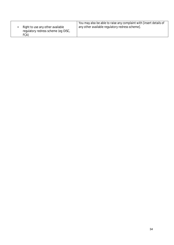|                                                                                 | You may also be able to raise any complaint with [insert details of |
|---------------------------------------------------------------------------------|---------------------------------------------------------------------|
| Right to use any other available<br>regulatory redress scheme (eg OISC,<br>FCA) | any other available regulatory redress scheme].                     |